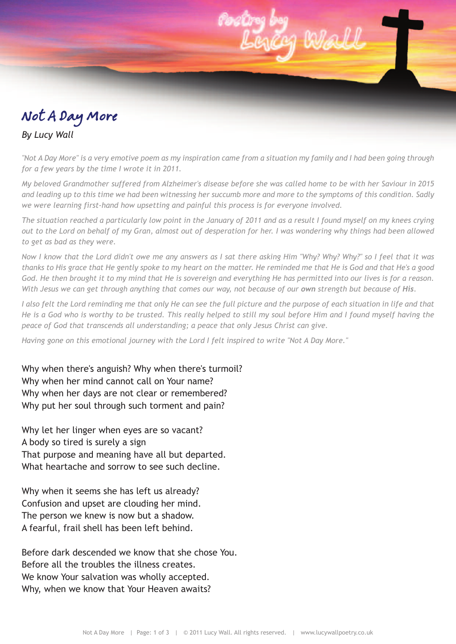## Not A Day More

## *By Lucy Wall*

"Not A Day More" is a very emotive poem as my inspiration came from a situation my family and I had been going through *for a few years by the time I wrote it in 2011.*

My beloved Grandmother suffered from Alzheimer's disease before she was called home to be with her Saviour in 2015 and leading up to this time we had been witnessing her succumb more and more to the symptoms of this condition. Sadly *we were learning first-hand how upsetting and painful this process is for everyone involved.*

The situation reached a particularly low point in the January of 2011 and as a result I found myself on my knees crying out to the Lord on behalf of my Gran, almost out of desperation for her. I was wondering why things had been allowed *to get as bad as they were.*

Now I know that the Lord didn't owe me any answers as I sat there asking Him "Why? Why? Why?" so I feel that it was thanks to His grace that He gently spoke to my heart on the matter. He reminded me that He is God and that He's a good God. He then brought it to my mind that He is sovereign and everything He has permitted into our lives is for a reason. With Jesus we can get through anything that comes our way, not because of our own strength but because of His.

I also felt the Lord reminding me that only He can see the full picture and the purpose of each situation in life and that He is a God who is worthy to be trusted. This really helped to still my soul before Him and I found myself having the *peace of God that transcends all understanding; a peace that only Jesus Christ can give.*

*Having gone on this emotional journey with the Lord I felt inspired to write "Not A Day More."*

Why when there's anguish? Why when there's turmoil? Why when her mind cannot call on Your name? Why when her days are not clear or remembered? Why put her soul through such torment and pain?

Why let her linger when eyes are so vacant? A body so tired is surely a sign That purpose and meaning have all but departed. What heartache and sorrow to see such decline.

Why when it seems she has left us already? Confusion and upset are clouding her mind. The person we knew is now but a shadow. A fearful, frail shell has been left behind.

Before dark descended we know that she chose You. Before all the troubles the illness creates. We know Your salvation was wholly accepted. Why, when we know that Your Heaven awaits?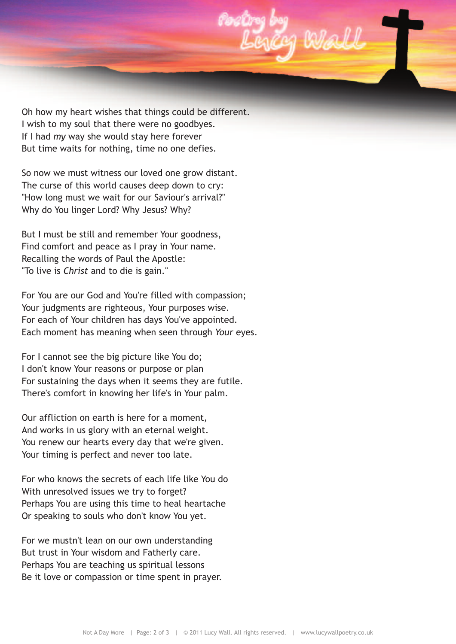

Oh how my heart wishes that things could be different. I wish to my soul that there were no goodbyes. If I had *my* way she would stay here forever But time waits for nothing, time no one defies.

So now we must witness our loved one grow distant. The curse of this world causes deep down to cry: "How long must we wait for our Saviour's arrival?" Why do You linger Lord? Why Jesus? Why?

But I must be still and remember Your goodness, Find comfort and peace as I pray in Your name. Recalling the words of Paul the Apostle: "To live is *Christ* and to die is gain."

For You are our God and You're filled with compassion; Your judgments are righteous, Your purposes wise. For each of Your children has days You've appointed. Each moment has meaning when seen through *Your* eyes.

For I cannot see the big picture like You do; I don't know Your reasons or purpose or plan For sustaining the days when it seems they are futile. There's comfort in knowing her life's in Your palm.

Our affliction on earth is here for a moment, And works in us glory with an eternal weight. You renew our hearts every day that we're given. Your timing is perfect and never too late.

For who knows the secrets of each life like You do With unresolved issues we try to forget? Perhaps You are using this time to heal heartache Or speaking to souls who don't know You yet.

For we mustn't lean on our own understanding But trust in Your wisdom and Fatherly care. Perhaps You are teaching us spiritual lessons Be it love or compassion or time spent in prayer.